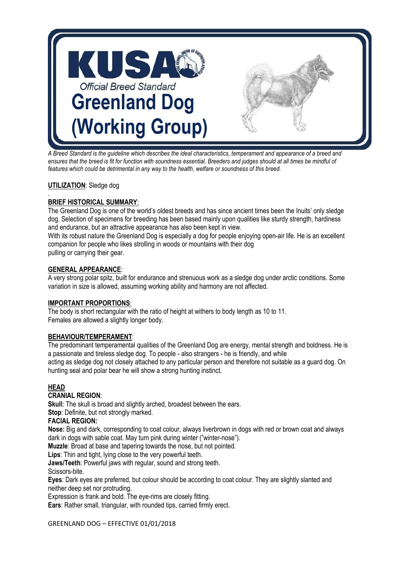

*A Breed Standard is the guideline which describes the ideal characteristics, temperament and appearance of a breed and ensures that the breed is fit for function with soundness essential. Breeders and judges should at all times be mindful of features which could be detrimental in any way to the health, welfare or soundness of this breed.*

## **UTILIZATION**: Sledge dog

#### . **BRIEF HISTORICAL SUMMARY**:

The Greenland Dog is one of the world's oldest breeds and has since ancient times been the Inuits' only sledge dog. Selection of specimens for breeding has been based mainly upon qualities like sturdy strength, hardiness and endurance, but an attractive appearance has also been kept in view.

With its robust nature the Greenland Dog is especially a dog for people enjoying open-air life. He is an excellent companion for people who likes strolling in woods or mountains with their dog pulling or carrying their gear.

## **GENERAL APPEARANCE**:

A very strong polar spitz, built for endurance and strenuous work as a sledge dog under arctic conditions. Some variation in size is allowed, assuming working ability and harmony are not affected.

#### **IMPORTANT PROPORTIONS**:

The body is short rectangular with the ratio of height at withers to body length as 10 to 11. Females are allowed a slightly longer body.

## **BEHAVIOUR/TEMPERAMENT**:

The predominant temperamental qualities of the Greenland Dog are energy, mental strength and boldness. He is a passionate and tireless sledge dog. To people - also strangers - he is friendly, and while acting as sledge dog not closely attached to any particular person and therefore not suitable as a guard dog. On hunting seal and polar bear he will show a strong hunting instinct.

## **HEAD**

## **CRANIAL REGION**:

**Skull:** The skull is broad and slightly arched, broadest between the ears.

**Stop**: Definite, but not strongly marked.

## **FACIAL REGION:**

**Nose:** Big and dark, corresponding to coat colour, always liverbrown in dogs with red or brown coat and always dark in dogs with sable coat. May turn pink during winter ("winter-nose").

**Muzzle**: Broad at base and tapering towards the nose, but not pointed.

**Lips**: Thin and tight, lying close to the very powerful teeth.

**Jaws/Teeth**: Powerful jaws with regular, sound and strong teeth.

Scissors-bite.

**Eyes**: Dark eyes are preferred, but colour should be according to coat colour. They are slightly slanted and neither deep set nor protruding.

Expression is frank and bold. The eye-rims are closely fitting.

**Ears**: Rather small, triangular, with rounded tips, carried firmly erect.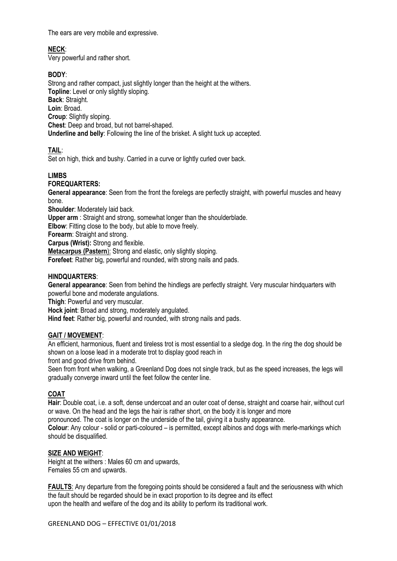The ears are very mobile and expressive.

# **NECK**:

Very powerful and rather short.

## **BODY**:

Strong and rather compact, just slightly longer than the height at the withers. **Topline:** Level or only slightly sloping. **Back**: Straight. **Loin**: Broad. **Croup**: Slightly sloping. **Chest**: Deep and broad, but not barrel-shaped. **Underline and belly**: Following the line of the brisket. A slight tuck up accepted.

**TAIL**:

Set on high, thick and bushy. Carried in a curve or lightly curled over back.

## **LIMBS**

## **FOREQUARTERS:**

**General appearance**: Seen from the front the forelegs are perfectly straight, with powerful muscles and heavy bone.

**Shoulder**: Moderately laid back.

**Upper arm** : Straight and strong, somewhat longer than the shoulderblade.

**Elbow**: Fitting close to the body, but able to move freely.

**Forearm**: Straight and strong.

**Carpus (Wrist):** Strong and flexible.

**Metacarpus (Pastern**): Strong and elastic, only slightly sloping.

**Forefeet**: Rather big, powerful and rounded, with strong nails and pads.

## **HINDQUARTERS**:

**General appearance**: Seen from behind the hindlegs are perfectly straight. Very muscular hindquarters with powerful bone and moderate angulations.

**Thigh**: Powerful and very muscular.

**Hock joint**: Broad and strong, moderately angulated.

**Hind feet**: Rather big, powerful and rounded, with strong nails and pads.

## **GAIT / MOVEMENT**:

An efficient, harmonious, fluent and tireless trot is most essential to a sledge dog. In the ring the dog should be shown on a loose lead in a moderate trot to display good reach in

front and good drive from behind.

Seen from front when walking, a Greenland Dog does not single track, but as the speed increases, the legs will gradually converge inward until the feet follow the center line.

## **COAT**

**Hair**: Double coat, i.e. a soft, dense undercoat and an outer coat of dense, straight and coarse hair, without curl or wave. On the head and the legs the hair is rather short, on the body it is longer and more

pronounced. The coat is longer on the underside of the tail, giving it a bushy appearance.

**Colour**: Any colour - solid or parti-coloured – is permitted, except albinos and dogs with merle-markings which should be disqualified.

## **SIZE AND WEIGHT**:

Height at the withers : Males 60 cm and upwards, Females 55 cm and upwards.

**FAULTS:** Any departure from the foregoing points should be considered a fault and the seriousness with which the fault should be regarded should be in exact proportion to its degree and its effect upon the health and welfare of the dog and its ability to perform its traditional work.